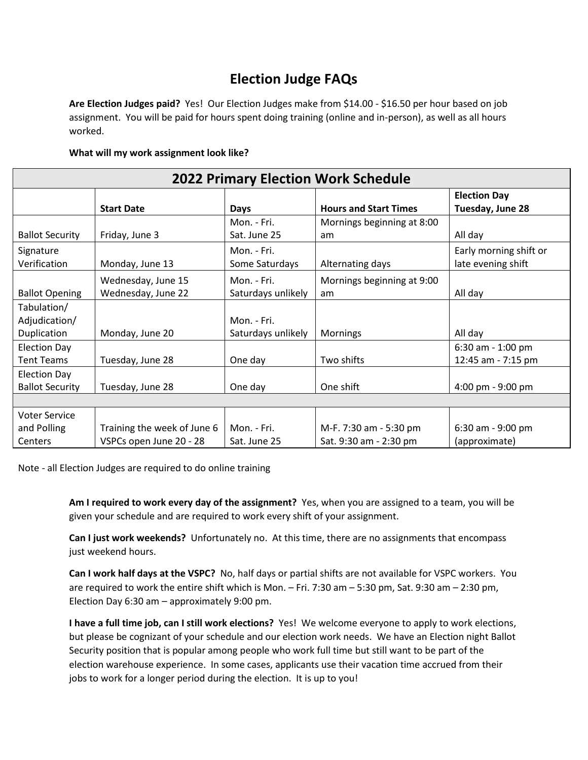## **Election Judge FAQs**

**Are Election Judges paid?** Yes! Our Election Judges make from \$14.00 - \$16.50 per hour based on job assignment. You will be paid for hours spent doing training (online and in-person), as well as all hours worked.

## **What will my work assignment look like?**

| <b>2022 Primary Election Work Schedule</b>     |                                                        |                                   |                                                  |                                              |
|------------------------------------------------|--------------------------------------------------------|-----------------------------------|--------------------------------------------------|----------------------------------------------|
|                                                | <b>Start Date</b>                                      | Days                              | <b>Hours and Start Times</b>                     | <b>Election Day</b><br>Tuesday, June 28      |
| <b>Ballot Security</b>                         | Friday, June 3                                         | Mon. - Fri.<br>Sat. June 25       | Mornings beginning at 8:00<br>am                 | All day                                      |
| Signature<br>Verification                      | Monday, June 13                                        | Mon. - Fri.<br>Some Saturdays     | Alternating days                                 | Early morning shift or<br>late evening shift |
| <b>Ballot Opening</b>                          | Wednesday, June 15<br>Wednesday, June 22               | Mon. - Fri.<br>Saturdays unlikely | Mornings beginning at 9:00<br>am                 | All day                                      |
| Tabulation/<br>Adjudication/                   |                                                        | Mon. - Fri.                       |                                                  |                                              |
| Duplication<br><b>Election Day</b>             | Monday, June 20                                        | Saturdays unlikely                | <b>Mornings</b>                                  | All day<br>6:30 am - 1:00 pm                 |
| <b>Tent Teams</b>                              | Tuesday, June 28                                       | One day                           | Two shifts                                       | 12:45 am - 7:15 pm                           |
| <b>Election Day</b><br><b>Ballot Security</b>  | Tuesday, June 28                                       | One day                           | One shift                                        | 4:00 pm - 9:00 pm                            |
|                                                |                                                        |                                   |                                                  |                                              |
| <b>Voter Service</b><br>and Polling<br>Centers | Training the week of June 6<br>VSPCs open June 20 - 28 | Mon. - Fri.<br>Sat. June 25       | M-F. 7:30 am - 5:30 pm<br>Sat. 9:30 am - 2:30 pm | 6:30 am - 9:00 pm<br>(approximate)           |

Note - all Election Judges are required to do online training

**Am I required to work every day of the assignment?** Yes, when you are assigned to a team, you will be given your schedule and are required to work every shift of your assignment.

**Can I just work weekends?** Unfortunately no. At this time, there are no assignments that encompass just weekend hours.

**Can I work half days at the VSPC?** No, half days or partial shifts are not available for VSPC workers. You are required to work the entire shift which is Mon. – Fri. 7:30 am – 5:30 pm, Sat. 9:30 am – 2:30 pm, Election Day 6:30 am – approximately 9:00 pm.

**I have a full time job, can I still work elections?** Yes! We welcome everyone to apply to work elections, but please be cognizant of your schedule and our election work needs. We have an Election night Ballot Security position that is popular among people who work full time but still want to be part of the election warehouse experience. In some cases, applicants use their vacation time accrued from their jobs to work for a longer period during the election. It is up to you!